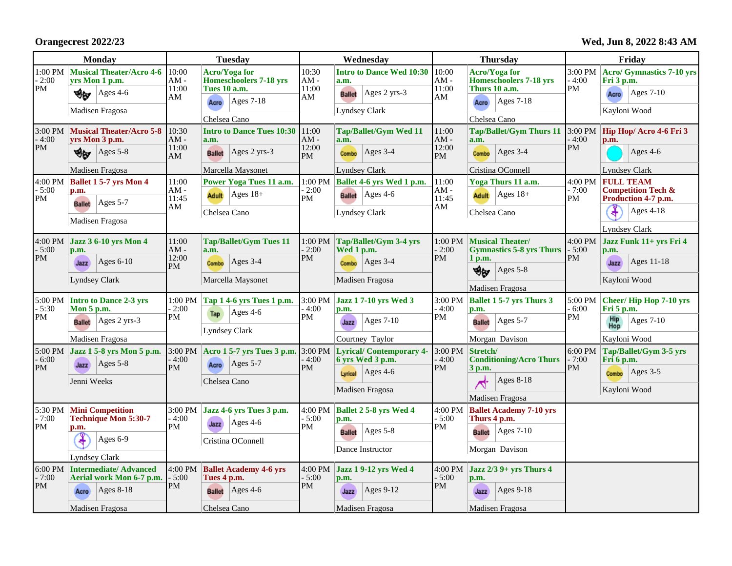**Orangecrest 2022/23**

**Wed, Jun 8, 2022 8:43 AM**

| <b>Monday</b>                   |                                                                                                         | <b>Tuesday</b>                 |                                                                                                                             | Wednesday                             |                                                                                                           | <b>Thursday</b>                       |                                                                                                                       | Friday                          |                                                                                                                    |
|---------------------------------|---------------------------------------------------------------------------------------------------------|--------------------------------|-----------------------------------------------------------------------------------------------------------------------------|---------------------------------------|-----------------------------------------------------------------------------------------------------------|---------------------------------------|-----------------------------------------------------------------------------------------------------------------------|---------------------------------|--------------------------------------------------------------------------------------------------------------------|
| $1:00$ PM $\,$<br>$-2:00$<br>PM | <b>Musical Theater/Acro 4-6</b><br>yrs Mon 1 p.m.<br>Ages 4-6<br>∜⊌<br>Madisen Fragosa                  | 10:00<br>$AM -$<br>11:00<br>AM | <b>Acro/Yoga for</b><br><b>Homeschoolers 7-18 yrs</b><br><b>Tues 10 a.m.</b><br>$\text{Ages } 7-18$<br>Acro<br>Chelsea Cano | 10:30<br>$AM -$<br>11:00<br>AM        | <b>Intro to Dance Wed 10:30 10:00</b><br>a.m.<br>$Ages$ 2 yrs-3<br><b>Ballet</b><br>Lyndsey Clark         | $AM -$<br>11:00<br>AM                 | <b>Acro/Yoga for</b><br><b>Homeschoolers 7-18 yrs</b><br>Thurs 10 a.m.<br>$\text{Ages } 7-18$<br>Acro<br>Chelsea Cano | 3:00 PM<br>$-4:00$<br>PM        | <b>Acro/ Gymnastics 7-10 yrs</b><br>Fri 3 p.m.<br>Ages $7-10$<br>Acro<br>Kayloni Wood                              |
| 3:00 PM<br>$-4:00$<br>PM        | <b>Musical Theater/Acro 5-8</b><br>vrs Mon 3 p.m.<br>Ages 5-8<br>৩⊌<br>Madisen Fragosa                  | 10:30<br>$AM -$<br>11:00<br>AM | <b>Intro to Dance Tues 10:30</b><br>a.m.<br>Ages 2 yrs-3<br><b>Ballet</b><br>Marcella Maysonet                              | 11:00<br>$AM -$<br>12:00<br><b>PM</b> | <b>Tap/Ballet/Gym Wed 11</b><br>a.m.<br>Ages $3-4$<br>Combo<br><b>Lyndsey Clark</b>                       | 11:00<br>$AM -$<br>12:00<br>PM        | <b>Tap/Ballet/Gym Thurs 11</b><br>a.m.<br>$\text{Ages } 3-4$<br>Combo<br>Cristina OConnell                            | 3:00 PM<br>$-4:00$<br><b>PM</b> | Hip Hop/ Acro 4-6 Fri 3<br>p.m.<br>Ages 4-6<br><b>Lyndsey Clark</b>                                                |
| 4:00 PM<br>$-5:00$<br>PM        | <b>Ballet 1 5-7 yrs Mon 4</b><br>p.m.<br>Ages $5-7$<br><b>Ballet</b><br>Madisen Fragosa                 | 11:00<br>$AM -$<br>11:45<br>AM | Power Yoga Tues 11 a.m.<br>$ {\rm Ages} 18+$<br><b>Adult</b><br>Chelsea Cano                                                | $-2:00$<br><b>PM</b>                  | $1:00$ PM Ballet 4-6 yrs Wed 1 p.m.<br><b>Ballet</b> $ Ages 4-6$<br>Lyndsey Clark                         | 11:00<br>$AM -$<br>11:45<br>AM        | Yoga Thurs 11 a.m.<br>Adult $\vert$ Ages 18+<br>Chelsea Cano                                                          | 4:00 PM<br>- 7:00<br><b>PM</b>  | <b>FULL TEAM</b><br><b>Competition Tech &amp;</b><br>Production 4-7 p.m.<br><b>Ages 4-18</b><br>X<br>Lyndsey Clark |
| 4:00 PM<br>$-5:00$<br>PM        | <b>Jazz 3 6-10 vrs Mon 4</b><br>p.m.<br>Ages $6-10$<br>Jazz<br><b>Lyndsey Clark</b>                     | 11:00<br>$AM -$<br>12:00<br>PM | <b>Tap/Ballet/Gym Tues 11</b><br>a.m.<br>Ages $3-4$<br>Combo<br>Marcella Maysonet                                           | $-2:00$<br>PM                         | $1:00$ PM $\boxed{\text{Tap/Ballet/Gym 3-4 yrs}}$<br>Wed 1 p.m.<br>$Ages$ 3-4<br>Combo<br>Madisen Fragosa | $1:00$ $\mathrm{PM}$<br>$-2:00$<br>PM | Musical Theater/<br><b>Gymnastics 5-8 yrs Thurs</b><br>1 p.m.<br>খ⊌<br>Ages $5-8$<br>Madisen Fragosa                  | 4:00 PM<br>$-5:00$<br>PM        | Jazz Funk 11+ yrs Fri 4<br>p.m.<br>Ages 11-18<br>Jazz<br>Kayloni Wood                                              |
| 5:00 PM<br>- 5:30<br>PM         | <b>Intro to Dance 2-3 yrs</b><br>Mon $5$ p.m.<br>$Ages$ 2 yrs-3<br><b>Ballet</b><br>Madisen Fragosa     | $1:00$ PM<br>- 2:00<br>PM      | Tap 1 4-6 yrs Tues 1 p.m.<br>Ages 4-6<br>Tap<br>Lyndsey Clark                                                               | 3:00 PM<br>- 4:00<br>PM               | <b>Jazz 17-10 yrs Wed 3</b><br>p.m.<br>$Ages 7-10$<br>Jazz<br>Courtney Taylor                             | 3:00 PM<br>$-4:00$<br>PM              | <b>Ballet 1 5-7 yrs Thurs 3</b><br>p.m.<br>$\text{Ages } 5-7$<br><b>Ballet</b><br>Morgan Davison                      | 5:00 PM<br>$-6:00$<br>PM        | <b>Cheer/Hip Hop 7-10 vrs</b><br>$\overline{F}$ ri 5 p.m.<br>Hip<br>Hop<br>Ages 7-10<br>Kayloni Wood               |
| 5:00 PM<br>$-6:00$<br><b>PM</b> | Jazz 1 5-8 yrs Mon 5 p.m.<br>$Ages 5-8$<br>Jazz<br>Jenni Weeks                                          | - 4:00<br><b>PM</b>            | 3:00 PM Acro 1 5-7 yrs Tues 3 p.m.<br>Ages $5-7$<br>Acro<br>Chelsea Cano                                                    | 3:00 PM<br>$-4:00$<br><b>PM</b>       | <b>Lyrical/Contemporary 4</b><br>6 yrs Wed 3 p.m.<br>$\text{Ages } 4-6$<br>Lyrical<br>Madisen Fragosa     | 3:00 PM<br>$-4:00$<br>PM              | Stretch/<br><b>Conditioning/Acro Thurs</b><br>3 p.m.<br>Ages 8-18<br>⊀<br>Madisen Fragosa                             | 6:00 PM<br>$-7:00$<br>PM        | Tap/Ballet/Gym 3-5 yrs<br>Fri 6 p.m.<br>$\text{Ages } 3-5$<br>Combo<br>Kayloni Wood                                |
| 5:30 PM<br>$-7:00$<br>PM        | <b>Mini Competition</b><br><b>Technique Mon 5:30-7</b><br>p.m.<br>3<br>Ages 6-9<br><b>Lyndsey Clark</b> | $-4:00$<br>PM                  | $3:00 \text{ PM}$ Jazz 4-6 vrs Tues 3 p.m.<br>$\operatorname{Ages}$ 4-6<br>Jazz<br>Cristina OConnell                        | 4:00 PM<br>$-5:00$<br>PM              | <b>Ballet 2 5-8 yrs Wed 4</b><br>p.m.<br>$ Ages 5-8$<br><b>Ballet</b><br>Dance Instructor                 | 4:00 PM<br>$-5:00$<br>PM              | <b>Ballet Academy 7-10 yrs</b><br>Thurs 4 p.m.<br><b>Ballet</b> Ages 7-10<br>Morgan Davison                           |                                 |                                                                                                                    |
| 6:00 PM<br>$-7:00$<br>PM        | <b>Intermediate/Advanced</b><br>Aerial work Mon 6-7 p.m.<br>Ages 8-18<br>Acro<br>Madisen Fragosa        | 4:00 PM<br>$-5:00$<br>PM       | <b>Ballet Academy 4-6 yrs</b><br>Tues 4 p.m.<br>$\text{Ages } 4-6$<br><b>Ballet</b><br>Chelsea Cano                         | 4:00 PM<br>$-5:00$<br><b>PM</b>       | Jazz 1 9-12 yrs Wed 4<br>p.m.<br>Ages $9-12$<br>Jazz<br>Madisen Fragosa                                   | 4:00 PM<br>- 5:00<br>PM               | Jazz $2/3$ 9+ yrs Thurs 4<br>p.m.<br>Ages $9-18$<br>Jazz<br>Madisen Fragosa                                           |                                 |                                                                                                                    |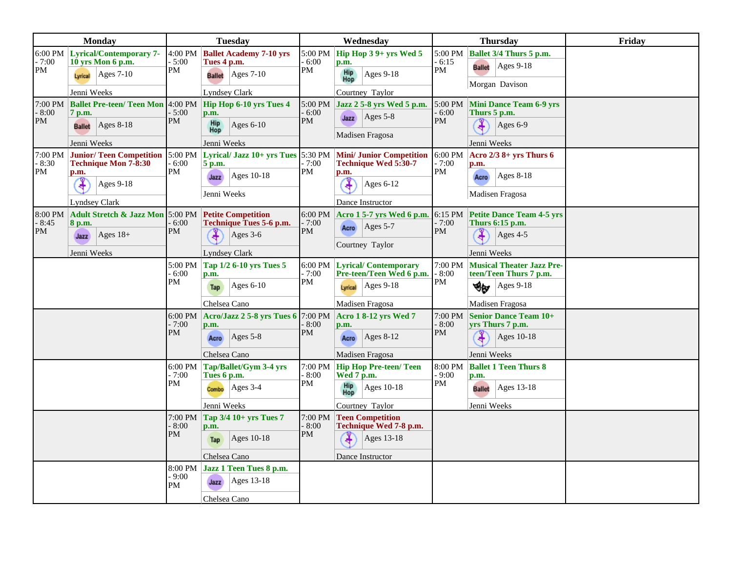| <b>Monday</b>             |                                                                                       | <b>Tuesday</b>           |                                                                                      |                   | Wednesday          |                                                                                     | <b>Thursday</b>          |                                                                                                        | Friday |
|---------------------------|---------------------------------------------------------------------------------------|--------------------------|--------------------------------------------------------------------------------------|-------------------|--------------------|-------------------------------------------------------------------------------------|--------------------------|--------------------------------------------------------------------------------------------------------|--------|
| $-7:00$<br>PM             | 6:00 PM Lyrical/Contemporary 7-<br>10 yrs Mon 6 p.m.<br>$ {\rm Ages}$ 7-10<br>Lyrical | 4:00 PM<br>5:00<br>PM    | <b>Ballet Academy 7-10 yrs</b><br>Tues 4 p.m.<br>$ {\rm Ages}$ 7-10<br><b>Ballet</b> | PM                | 5:00 PM<br>6:00    | Hip Hop $39+$ yrs Wed $5$<br>p.m.<br><b>Hip</b><br>Hop<br>Ages 9-18                 | 6:15<br>PM               | 5:00 PM   Ballet $3/4$ Thurs 5 p.m.<br><b>Ballet</b> Ages 9-18<br>Morgan Davison                       |        |
|                           | Jenni Weeks                                                                           |                          | <b>Lyndsey Clark</b>                                                                 |                   |                    | Courtney Taylor                                                                     |                          |                                                                                                        |        |
| 7:00 PM<br>$-8:00$<br>PM  | <b>Ballet Pre-teen/ Teen Mon</b><br>7 p.m.                                            | $4:00$ PM<br>5:00<br>PM  | Hip Hop 6-10 yrs Tues 4<br>p.m.                                                      |                   | 5:00 PM<br>6:00    | Jazz 2 5-8 yrs Wed 5 p.m.<br>$Ages$ 5-8<br>Jazz                                     | 5:00 PM<br>6:00<br>PM    | <b>Mini Dance Team 6-9 yrs</b><br>Thurs 5 p.m.                                                         |        |
|                           | $Ages 8-18$<br><b>Ballet</b>                                                          |                          | <b>Hip</b><br>Hop<br>Ages $6-10$                                                     | <b>PM</b>         |                    | Madisen Fragosa                                                                     |                          | Ages $6-9$                                                                                             |        |
|                           | Jenni Weeks                                                                           |                          | Jenni Weeks                                                                          |                   |                    |                                                                                     |                          | Jenni Weeks                                                                                            |        |
| 17:00 PM<br>$-8:30$<br>PM | <b>Junior/Teen Competition</b><br><b>Technique Mon 7-8:30</b><br>p.m.                 | 5:00 PM<br>6:00<br>PM    | Lyrical/ Jazz $10+$ yrs Tues 5:30 PM<br>5 p.m.                                       | PM                | - 7:00             | <b>Mini/ Junior Competition</b><br>Technique Wed 5:30-7<br>p.m.                     | 6:00 PM<br>$-7:00$<br>PM | Acro $2/3$ 8+ yrs Thurs 6<br>p.m.                                                                      |        |
|                           | <b>Ages 9-18</b>                                                                      |                          | Ages 10-18<br>Jazz<br>Jenni Weeks                                                    |                   |                    | Ages 6-12                                                                           |                          | $ {\rm Ages}$ 8-18<br>Acro<br>Madisen Fragosa                                                          |        |
|                           | <b>Lyndsey Clark</b>                                                                  |                          |                                                                                      |                   |                    | Dance Instructor                                                                    |                          |                                                                                                        |        |
| 8:00 PM<br>$-8:45$<br>PM  | Adult Stretch & Jazz Mon 5:00 PM Petite Competition<br>8 p.m.<br>Ages $18+$           | 6:00<br>PM               | <b>Technique Tues 5-6 p.m.</b><br>Ages 3-6                                           | PM                | $-7:00$            | Acro Ages 5-7                                                                       | $-7:00$<br><b>PM</b>     | 6:00 PM   Acro 1 5-7 yrs Wed 6 p.m. 6:15 PM   Petite Dance Team 4-5 yrs<br>Thurs 6:15 p.m.<br>Ages 4-5 |        |
|                           | Jazz                                                                                  |                          |                                                                                      |                   |                    | Courtney Taylor                                                                     |                          |                                                                                                        |        |
|                           | Jenni Weeks<br><b>Lyndsey Clark</b>                                                   |                          |                                                                                      |                   |                    | Jenni Weeks                                                                         |                          |                                                                                                        |        |
|                           |                                                                                       | 5:00 PM<br>$-6:00$<br>PM | Tap 1/2 6-10 yrs Tues 5<br>p.m.                                                      | PM                | $-7:00$            | 6:00 PM Lyrical/ Contemporary<br>Pre-teen/Teen Wed 6 p.m.                           | 7:00 PM<br>8:00<br>PM    | <b>Musical Theater Jazz Pre-</b><br>teen/Teen Thurs 7 p.m.                                             |        |
|                           |                                                                                       |                          | Ages $6-10$<br>Tap                                                                   |                   |                    | Ages $9-18$<br>Lyrical                                                              |                          | Ages $9-18$<br>খ⊮                                                                                      |        |
|                           |                                                                                       |                          | Chelsea Cano                                                                         |                   |                    | Madisen Fragosa<br>6:00 PM Acro/Jazz 2 5-8 yrs Tues 6 7:00 PM Acro 1 8-12 yrs Wed 7 |                          | Madisen Fragosa<br>7:00 PM Senior Dance Team 10+                                                       |        |
|                           |                                                                                       | $-7:00$<br>PM            | p.m.                                                                                 |                   | $-8:00$            | p.m.                                                                                | $-8:00$<br>PM            | yrs Thurs 7 p.m.                                                                                       |        |
|                           |                                                                                       |                          | Ages $5-8$<br>Acro                                                                   | PM                |                    | Ages 8-12<br>Acro                                                                   |                          | Ages 10-18                                                                                             |        |
|                           |                                                                                       |                          | Chelsea Cano                                                                         |                   |                    | Madisen Fragosa                                                                     |                          | Jenni Weeks                                                                                            |        |
|                           |                                                                                       | 6:00 PM<br>$-7:00$       | Tap/Ballet/Gym 3-4 yrs<br>Tues 6 p.m.                                                |                   | 7:00 PM<br>$-8:00$ | <b>Hip Hop Pre-teen/ Teen</b><br>Wed $7 \text{ p.m.}$                               | 8:00 PM<br>9:00          | <b>Ballet 1 Teen Thurs 8</b><br>p.m.                                                                   |        |
|                           |                                                                                       | PM                       | Ages $3-4$<br>Combo                                                                  | PM                |                    | Hip<br>Hop<br>Ages 10-18                                                            | PM                       | Ages 13-18<br><b>Ballet</b>                                                                            |        |
|                           |                                                                                       |                          | Jenni Weeks                                                                          |                   |                    | Courtney Taylor                                                                     |                          | Jenni Weeks                                                                                            |        |
|                           |                                                                                       | 7:00 PM<br>$-8:00$       | Tap 3/4 10+ yrs Tues 7<br>p.m.                                                       | 7:00 PM<br>- 8:00 |                    | <b>Teen Competition</b><br>Technique Wed 7-8 p.m.                                   |                          |                                                                                                        |        |
|                           |                                                                                       | PM                       | Ages $10-18$<br>Tap                                                                  | PM                |                    | Ages 13-18                                                                          |                          |                                                                                                        |        |
|                           |                                                                                       |                          | Chelsea Cano                                                                         |                   |                    | Dance Instructor                                                                    |                          |                                                                                                        |        |
|                           |                                                                                       | 8:00 PM<br>$-9:00$<br>PM | Jazz 1 Teen Tues 8 p.m.<br>Ages 13-18<br>Jazz                                        |                   |                    |                                                                                     |                          |                                                                                                        |        |
|                           |                                                                                       |                          | Chelsea Cano                                                                         |                   |                    |                                                                                     |                          |                                                                                                        |        |